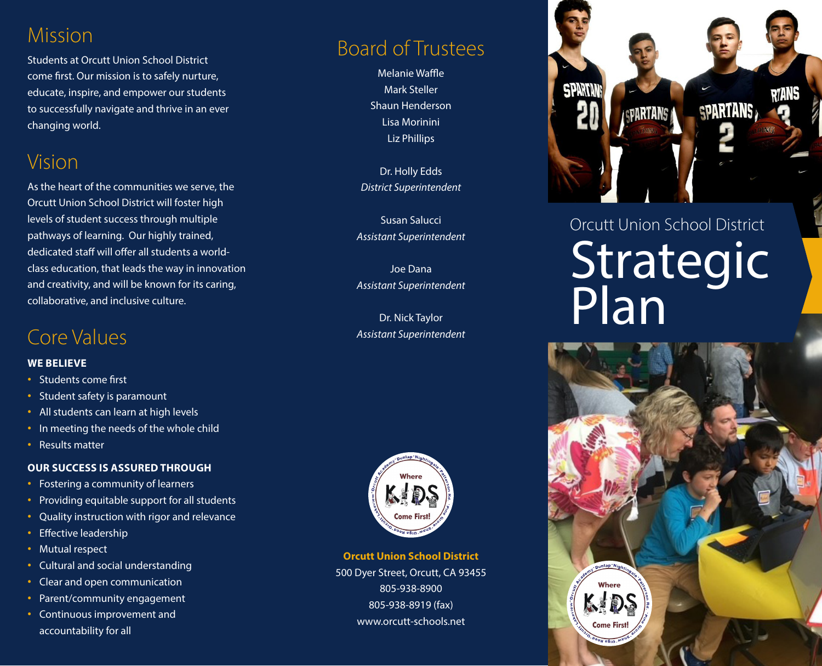### Mission

Students at Orcutt Union School District come first. Our mission is to safely nurture, educate, inspire, and empower our students to successfully navigate and thrive in an ever changing world.

### Vision

As the heart of the communities we serve, the Orcutt Union School District will foster high levels of student success through multiple pathways of learning. Our highly trained, dedicated staff will offer all students a worldclass education, that leads the way in innovation and creativity, and will be known for its caring, collaborative, and inclusive culture.

### Core Values

#### **WE BELIEVE**

- **·** Students come first
- **·** Student safety is paramount
- **·** All students can learn at high levels
- **·** In meeting the needs of the whole child
- **·** Results matter

### **OUR SUCCESS IS ASSURED THROUGH**

- **·** Fostering a community of learners
- **·** Providing equitable support for all students
- **·** Quality instruction with rigor and relevance
- **·** Effective leadership
- **·** Mutual respect
- **·** Cultural and social understanding
- **·** Clear and open communication
- **·** Parent/community engagement
- **·** Continuous improvement and accountability for all

### Board of Trustees

Melanie Waffle Mark Steller Shaun Henderson Lisa Morinini Liz Phillips

Dr. Holly Edds *District Superintendent*

Susan Salucci *Assistant Superintendent*

Joe Dana *Assistant Superintendent*

Dr. Nick Taylor *Assistant Superintendent*



**Orcutt Union School District** 500 Dyer Street, Orcutt, CA 93455 805-938-8900

> 805-938-8919 (fax) www.orcutt-schools.net



# Orcutt Union School District Strategic Plan